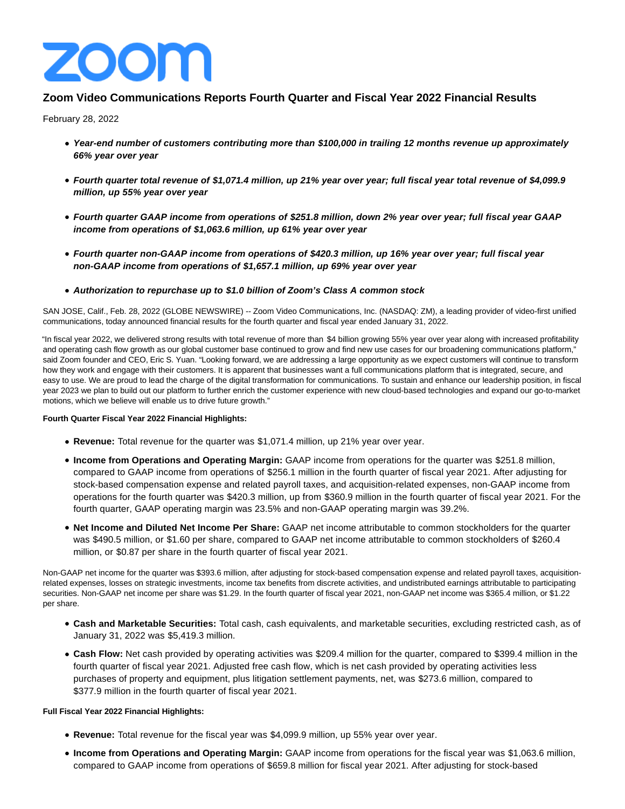

# **Zoom Video Communications Reports Fourth Quarter and Fiscal Year 2022 Financial Results**

February 28, 2022

- **Year-end number of customers contributing more than \$100,000 in trailing 12 months revenue up approximately 66% year over year**
- **Fourth quarter total revenue of \$1,071.4 million, up 21% year over year; full fiscal year total revenue of \$4,099.9 million, up 55% year over year**
- **Fourth quarter GAAP income from operations of \$251.8 million, down 2% year over year; full fiscal year GAAP income from operations of \$1,063.6 million, up 61% year over year**
- **Fourth quarter non-GAAP income from operations of \$420.3 million, up 16% year over year; full fiscal year non-GAAP income from operations of \$1,657.1 million, up 69% year over year**
- **Authorization to repurchase up to \$1.0 billion of Zoom's Class A common stock**

SAN JOSE, Calif., Feb. 28, 2022 (GLOBE NEWSWIRE) -- Zoom Video Communications, Inc. (NASDAQ: ZM), a leading provider of video-first unified communications, today announced financial results for the fourth quarter and fiscal year ended January 31, 2022.

"In fiscal year 2022, we delivered strong results with total revenue of more than \$4 billion growing 55% year over year along with increased profitability and operating cash flow growth as our global customer base continued to grow and find new use cases for our broadening communications platform," said Zoom founder and CEO, Eric S. Yuan. "Looking forward, we are addressing a large opportunity as we expect customers will continue to transform how they work and engage with their customers. It is apparent that businesses want a full communications platform that is integrated, secure, and easy to use. We are proud to lead the charge of the digital transformation for communications. To sustain and enhance our leadership position, in fiscal year 2023 we plan to build out our platform to further enrich the customer experience with new cloud-based technologies and expand our go-to-market motions, which we believe will enable us to drive future growth."

# **Fourth Quarter Fiscal Year 2022 Financial Highlights:**

- **Revenue:** Total revenue for the quarter was \$1,071.4 million, up 21% year over year.
- **Income from Operations and Operating Margin:** GAAP income from operations for the quarter was \$251.8 million, compared to GAAP income from operations of \$256.1 million in the fourth quarter of fiscal year 2021. After adjusting for stock-based compensation expense and related payroll taxes, and acquisition-related expenses, non-GAAP income from operations for the fourth quarter was \$420.3 million, up from \$360.9 million in the fourth quarter of fiscal year 2021. For the fourth quarter, GAAP operating margin was 23.5% and non-GAAP operating margin was 39.2%.
- **Net Income and Diluted Net Income Per Share:** GAAP net income attributable to common stockholders for the quarter was \$490.5 million, or \$1.60 per share, compared to GAAP net income attributable to common stockholders of \$260.4 million, or \$0.87 per share in the fourth quarter of fiscal year 2021.

Non-GAAP net income for the quarter was \$393.6 million, after adjusting for stock-based compensation expense and related payroll taxes, acquisitionrelated expenses, losses on strategic investments, income tax benefits from discrete activities, and undistributed earnings attributable to participating securities. Non-GAAP net income per share was \$1.29. In the fourth quarter of fiscal year 2021, non-GAAP net income was \$365.4 million, or \$1.22 per share.

- **Cash and Marketable Securities:** Total cash, cash equivalents, and marketable securities, excluding restricted cash, as of January 31, 2022 was \$5,419.3 million.
- **Cash Flow:** Net cash provided by operating activities was \$209.4 million for the quarter, compared to \$399.4 million in the fourth quarter of fiscal year 2021. Adjusted free cash flow, which is net cash provided by operating activities less purchases of property and equipment, plus litigation settlement payments, net, was \$273.6 million, compared to \$377.9 million in the fourth quarter of fiscal year 2021.

# **Full Fiscal Year 2022 Financial Highlights:**

- **Revenue:** Total revenue for the fiscal year was \$4,099.9 million, up 55% year over year.
- **Income from Operations and Operating Margin:** GAAP income from operations for the fiscal year was \$1,063.6 million, compared to GAAP income from operations of \$659.8 million for fiscal year 2021. After adjusting for stock-based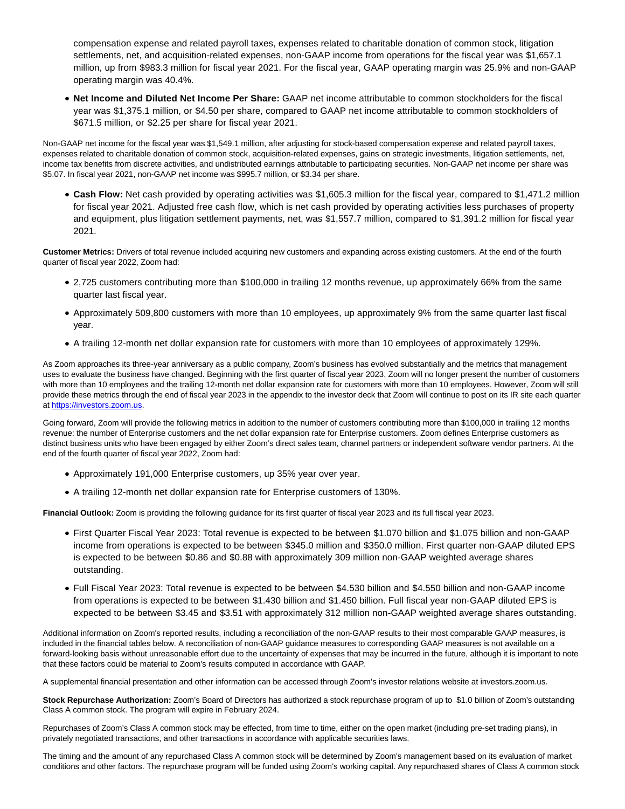compensation expense and related payroll taxes, expenses related to charitable donation of common stock, litigation settlements, net, and acquisition-related expenses, non-GAAP income from operations for the fiscal year was \$1,657.1 million, up from \$983.3 million for fiscal year 2021. For the fiscal year, GAAP operating margin was 25.9% and non-GAAP operating margin was 40.4%.

**Net Income and Diluted Net Income Per Share:** GAAP net income attributable to common stockholders for the fiscal year was \$1,375.1 million, or \$4.50 per share, compared to GAAP net income attributable to common stockholders of \$671.5 million, or \$2.25 per share for fiscal year 2021.

Non-GAAP net income for the fiscal year was \$1,549.1 million, after adjusting for stock-based compensation expense and related payroll taxes, expenses related to charitable donation of common stock, acquisition-related expenses, gains on strategic investments, litigation settlements, net, income tax benefits from discrete activities, and undistributed earnings attributable to participating securities. Non-GAAP net income per share was \$5.07. In fiscal year 2021, non-GAAP net income was \$995.7 million, or \$3.34 per share.

**Cash Flow:** Net cash provided by operating activities was \$1,605.3 million for the fiscal year, compared to \$1,471.2 million for fiscal year 2021. Adjusted free cash flow, which is net cash provided by operating activities less purchases of property and equipment, plus litigation settlement payments, net, was \$1,557.7 million, compared to \$1,391.2 million for fiscal year 2021.

**Customer Metrics:** Drivers of total revenue included acquiring new customers and expanding across existing customers. At the end of the fourth quarter of fiscal year 2022, Zoom had:

- 2,725 customers contributing more than \$100,000 in trailing 12 months revenue, up approximately 66% from the same quarter last fiscal year.
- Approximately 509,800 customers with more than 10 employees, up approximately 9% from the same quarter last fiscal year.
- A trailing 12-month net dollar expansion rate for customers with more than 10 employees of approximately 129%.

As Zoom approaches its three-year anniversary as a public company, Zoom's business has evolved substantially and the metrics that management uses to evaluate the business have changed. Beginning with the first quarter of fiscal year 2023, Zoom will no longer present the number of customers with more than 10 employees and the trailing 12-month net dollar expansion rate for customers with more than 10 employees. However, Zoom will still provide these metrics through the end of fiscal year 2023 in the appendix to the investor deck that Zoom will continue to post on its IR site each quarter at [https://investors.zoom.us.](https://investors.zoom.us/)

Going forward, Zoom will provide the following metrics in addition to the number of customers contributing more than \$100,000 in trailing 12 months revenue: the number of Enterprise customers and the net dollar expansion rate for Enterprise customers. Zoom defines Enterprise customers as distinct business units who have been engaged by either Zoom's direct sales team, channel partners or independent software vendor partners. At the end of the fourth quarter of fiscal year 2022, Zoom had:

- Approximately 191,000 Enterprise customers, up 35% year over year.
- A trailing 12-month net dollar expansion rate for Enterprise customers of 130%.

**Financial Outlook:** Zoom is providing the following guidance for its first quarter of fiscal year 2023 and its full fiscal year 2023.

- First Quarter Fiscal Year 2023: Total revenue is expected to be between \$1.070 billion and \$1.075 billion and non-GAAP income from operations is expected to be between \$345.0 million and \$350.0 million. First quarter non-GAAP diluted EPS is expected to be between \$0.86 and \$0.88 with approximately 309 million non-GAAP weighted average shares outstanding.
- Full Fiscal Year 2023: Total revenue is expected to be between \$4.530 billion and \$4.550 billion and non-GAAP income from operations is expected to be between \$1.430 billion and \$1.450 billion. Full fiscal year non-GAAP diluted EPS is expected to be between \$3.45 and \$3.51 with approximately 312 million non-GAAP weighted average shares outstanding.

Additional information on Zoom's reported results, including a reconciliation of the non-GAAP results to their most comparable GAAP measures, is included in the financial tables below. A reconciliation of non-GAAP guidance measures to corresponding GAAP measures is not available on a forward-looking basis without unreasonable effort due to the uncertainty of expenses that may be incurred in the future, although it is important to note that these factors could be material to Zoom's results computed in accordance with GAAP.

A supplemental financial presentation and other information can be accessed through Zoom's investor relations website at investors.zoom.us.

**Stock Repurchase Authorization:** Zoom's Board of Directors has authorized a stock repurchase program of up to \$1.0 billion of Zoom's outstanding Class A common stock. The program will expire in February 2024.

Repurchases of Zoom's Class A common stock may be effected, from time to time, either on the open market (including pre-set trading plans), in privately negotiated transactions, and other transactions in accordance with applicable securities laws.

The timing and the amount of any repurchased Class A common stock will be determined by Zoom's management based on its evaluation of market conditions and other factors. The repurchase program will be funded using Zoom's working capital. Any repurchased shares of Class A common stock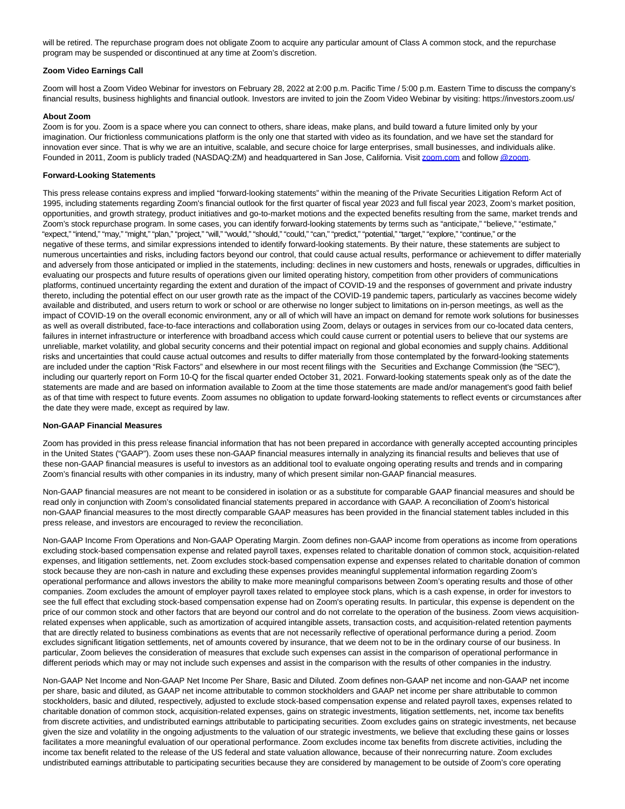will be retired. The repurchase program does not obligate Zoom to acquire any particular amount of Class A common stock, and the repurchase program may be suspended or discontinued at any time at Zoom's discretion.

# **Zoom Video Earnings Call**

Zoom will host a Zoom Video Webinar for investors on February 28, 2022 at 2:00 p.m. Pacific Time / 5:00 p.m. Eastern Time to discuss the company's financial results, business highlights and financial outlook. Investors are invited to join the Zoom Video Webinar by visiting: https://investors.zoom.us/

# **About Zoom**

Zoom is for you. Zoom is a space where you can connect to others, share ideas, make plans, and build toward a future limited only by your imagination. Our frictionless communications platform is the only one that started with video as its foundation, and we have set the standard for innovation ever since. That is why we are an intuitive, scalable, and secure choice for large enterprises, small businesses, and individuals alike. Founded in 2011, Zoom is publicly traded (NASDAQ:ZM) and headquartered in San Jose, California. Visit [zoom.com a](http://zoom.com/)nd follo[w @zoom.](https://www.globenewswire.com/Tracker?data=Z25ha74v5pIL1T8FZmE7HoqUOqF4jU4AWtEqeQ1r5NagWgAXDYazPUrAXO4vEMHWkVKEBTA0ImzeuljZCEVfFQ==)

#### **Forward-Looking Statements**

This press release contains express and implied "forward-looking statements" within the meaning of the Private Securities Litigation Reform Act of 1995, including statements regarding Zoom's financial outlook for the first quarter of fiscal year 2023 and full fiscal year 2023, Zoom's market position, opportunities, and growth strategy, product initiatives and go-to-market motions and the expected benefits resulting from the same, market trends and Zoom's stock repurchase program. In some cases, you can identify forward-looking statements by terms such as "anticipate," "believe," "estimate," "expect," "intend," "may," "might," "plan," "project," "will," "would," "should," "could," "can," "predict," "potential," "target," "explore," "continue," or the negative of these terms, and similar expressions intended to identify forward-looking statements. By their nature, these statements are subject to numerous uncertainties and risks, including factors beyond our control, that could cause actual results, performance or achievement to differ materially and adversely from those anticipated or implied in the statements, including: declines in new customers and hosts, renewals or upgrades, difficulties in evaluating our prospects and future results of operations given our limited operating history, competition from other providers of communications platforms, continued uncertainty regarding the extent and duration of the impact of COVID-19 and the responses of government and private industry thereto, including the potential effect on our user growth rate as the impact of the COVID-19 pandemic tapers, particularly as vaccines become widely available and distributed, and users return to work or school or are otherwise no longer subject to limitations on in-person meetings, as well as the impact of COVID-19 on the overall economic environment, any or all of which will have an impact on demand for remote work solutions for businesses as well as overall distributed, face-to-face interactions and collaboration using Zoom, delays or outages in services from our co-located data centers, failures in internet infrastructure or interference with broadband access which could cause current or potential users to believe that our systems are unreliable, market volatility, and global security concerns and their potential impact on regional and global economies and supply chains. Additional risks and uncertainties that could cause actual outcomes and results to differ materially from those contemplated by the forward-looking statements are included under the caption "Risk Factors" and elsewhere in our most recent filings with the Securities and Exchange Commission (the "SEC"), including our quarterly report on Form 10-Q for the fiscal quarter ended October 31, 2021. Forward-looking statements speak only as of the date the statements are made and are based on information available to Zoom at the time those statements are made and/or management's good faith belief as of that time with respect to future events. Zoom assumes no obligation to update forward-looking statements to reflect events or circumstances after the date they were made, except as required by law.

#### **Non-GAAP Financial Measures**

Zoom has provided in this press release financial information that has not been prepared in accordance with generally accepted accounting principles in the United States ("GAAP"). Zoom uses these non-GAAP financial measures internally in analyzing its financial results and believes that use of these non-GAAP financial measures is useful to investors as an additional tool to evaluate ongoing operating results and trends and in comparing Zoom's financial results with other companies in its industry, many of which present similar non-GAAP financial measures.

Non-GAAP financial measures are not meant to be considered in isolation or as a substitute for comparable GAAP financial measures and should be read only in conjunction with Zoom's consolidated financial statements prepared in accordance with GAAP. A reconciliation of Zoom's historical non-GAAP financial measures to the most directly comparable GAAP measures has been provided in the financial statement tables included in this press release, and investors are encouraged to review the reconciliation.

Non-GAAP Income From Operations and Non-GAAP Operating Margin. Zoom defines non-GAAP income from operations as income from operations excluding stock-based compensation expense and related payroll taxes, expenses related to charitable donation of common stock, acquisition-related expenses, and litigation settlements, net. Zoom excludes stock-based compensation expense and expenses related to charitable donation of common stock because they are non-cash in nature and excluding these expenses provides meaningful supplemental information regarding Zoom's operational performance and allows investors the ability to make more meaningful comparisons between Zoom's operating results and those of other companies. Zoom excludes the amount of employer payroll taxes related to employee stock plans, which is a cash expense, in order for investors to see the full effect that excluding stock-based compensation expense had on Zoom's operating results. In particular, this expense is dependent on the price of our common stock and other factors that are beyond our control and do not correlate to the operation of the business. Zoom views acquisitionrelated expenses when applicable, such as amortization of acquired intangible assets, transaction costs, and acquisition-related retention payments that are directly related to business combinations as events that are not necessarily reflective of operational performance during a period. Zoom excludes significant litigation settlements, net of amounts covered by insurance, that we deem not to be in the ordinary course of our business. In particular, Zoom believes the consideration of measures that exclude such expenses can assist in the comparison of operational performance in different periods which may or may not include such expenses and assist in the comparison with the results of other companies in the industry.

Non-GAAP Net Income and Non-GAAP Net Income Per Share, Basic and Diluted. Zoom defines non-GAAP net income and non-GAAP net income per share, basic and diluted, as GAAP net income attributable to common stockholders and GAAP net income per share attributable to common stockholders, basic and diluted, respectively, adjusted to exclude stock-based compensation expense and related payroll taxes, expenses related to charitable donation of common stock, acquisition-related expenses, gains on strategic investments, litigation settlements, net, income tax benefits from discrete activities, and undistributed earnings attributable to participating securities. Zoom excludes gains on strategic investments, net because given the size and volatility in the ongoing adjustments to the valuation of our strategic investments, we believe that excluding these gains or losses facilitates a more meaningful evaluation of our operational performance. Zoom excludes income tax benefits from discrete activities, including the income tax benefit related to the release of the US federal and state valuation allowance, because of their nonrecurring nature. Zoom excludes undistributed earnings attributable to participating securities because they are considered by management to be outside of Zoom's core operating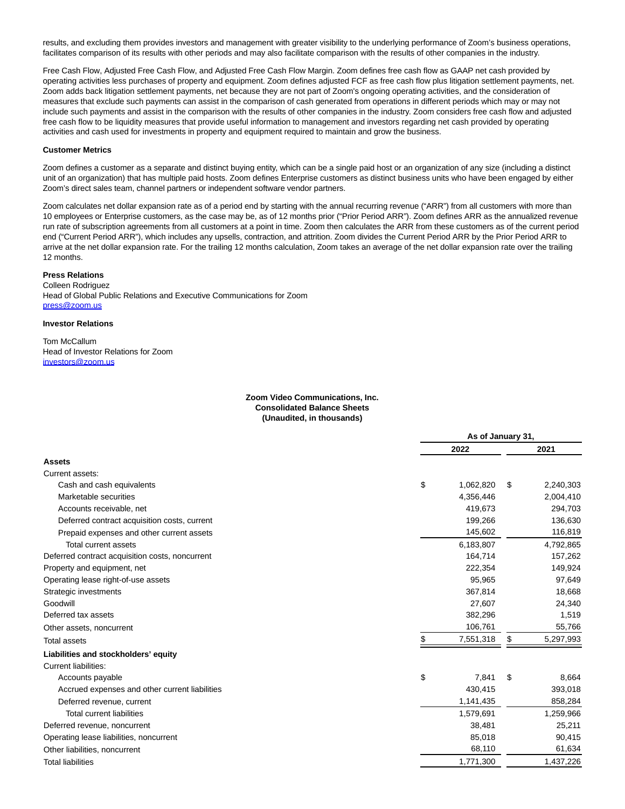results, and excluding them provides investors and management with greater visibility to the underlying performance of Zoom's business operations, facilitates comparison of its results with other periods and may also facilitate comparison with the results of other companies in the industry.

Free Cash Flow, Adjusted Free Cash Flow, and Adjusted Free Cash Flow Margin. Zoom defines free cash flow as GAAP net cash provided by operating activities less purchases of property and equipment. Zoom defines adjusted FCF as free cash flow plus litigation settlement payments, net. Zoom adds back litigation settlement payments, net because they are not part of Zoom's ongoing operating activities, and the consideration of measures that exclude such payments can assist in the comparison of cash generated from operations in different periods which may or may not include such payments and assist in the comparison with the results of other companies in the industry. Zoom considers free cash flow and adjusted free cash flow to be liquidity measures that provide useful information to management and investors regarding net cash provided by operating activities and cash used for investments in property and equipment required to maintain and grow the business.

#### **Customer Metrics**

Zoom defines a customer as a separate and distinct buying entity, which can be a single paid host or an organization of any size (including a distinct unit of an organization) that has multiple paid hosts. Zoom defines Enterprise customers as distinct business units who have been engaged by either Zoom's direct sales team, channel partners or independent software vendor partners.

Zoom calculates net dollar expansion rate as of a period end by starting with the annual recurring revenue ("ARR") from all customers with more than 10 employees or Enterprise customers, as the case may be, as of 12 months prior ("Prior Period ARR"). Zoom defines ARR as the annualized revenue run rate of subscription agreements from all customers at a point in time. Zoom then calculates the ARR from these customers as of the current period end ("Current Period ARR"), which includes any upsells, contraction, and attrition. Zoom divides the Current Period ARR by the Prior Period ARR to arrive at the net dollar expansion rate. For the trailing 12 months calculation, Zoom takes an average of the net dollar expansion rate over the trailing 12 months.

# **Press Relations**

Colleen Rodriguez Head of Global Public Relations and Executive Communications for Zoom [press@zoom.us](mailto:press@zoom.us)

#### **Investor Relations**

Tom McCallum Head of Investor Relations for Zoom [investors@zoom.us](mailto:investors@zoom.us)

### **Zoom Video Communications, Inc. Consolidated Balance Sheets (Unaudited, in thousands)**

|                                                 | As of January 31, |    |           |  |  |
|-------------------------------------------------|-------------------|----|-----------|--|--|
|                                                 | 2022              |    | 2021      |  |  |
| <b>Assets</b>                                   |                   |    |           |  |  |
| Current assets:                                 |                   |    |           |  |  |
| Cash and cash equivalents                       | \$<br>1,062,820   | \$ | 2,240,303 |  |  |
| Marketable securities                           | 4,356,446         |    | 2,004,410 |  |  |
| Accounts receivable, net                        | 419,673           |    | 294,703   |  |  |
| Deferred contract acquisition costs, current    | 199,266           |    | 136,630   |  |  |
| Prepaid expenses and other current assets       | 145,602           |    | 116,819   |  |  |
| <b>Total current assets</b>                     | 6,183,807         |    | 4,792,865 |  |  |
| Deferred contract acquisition costs, noncurrent | 164,714           |    | 157,262   |  |  |
| Property and equipment, net                     | 222,354           |    | 149,924   |  |  |
| Operating lease right-of-use assets             | 95,965            |    | 97,649    |  |  |
| Strategic investments                           | 367,814           |    | 18,668    |  |  |
| Goodwill                                        | 27,607            |    | 24,340    |  |  |
| Deferred tax assets                             | 382,296           |    | 1,519     |  |  |
| Other assets, noncurrent                        | 106,761           |    | 55,766    |  |  |
| <b>Total assets</b>                             | \$<br>7,551,318   | \$ | 5,297,993 |  |  |
| Liabilities and stockholders' equity            |                   |    |           |  |  |
| <b>Current liabilities:</b>                     |                   |    |           |  |  |
| Accounts payable                                | \$<br>7,841       | \$ | 8,664     |  |  |
| Accrued expenses and other current liabilities  | 430,415           |    | 393,018   |  |  |
| Deferred revenue, current                       | 1,141,435         |    | 858,284   |  |  |
| <b>Total current liabilities</b>                | 1,579,691         |    | 1,259,966 |  |  |
| Deferred revenue, noncurrent                    | 38,481            |    | 25,211    |  |  |
| Operating lease liabilities, noncurrent         | 85,018            |    | 90,415    |  |  |
| Other liabilities, noncurrent                   | 68,110            |    | 61,634    |  |  |
| <b>Total liabilities</b>                        | 1,771,300         |    | 1,437,226 |  |  |
|                                                 |                   |    |           |  |  |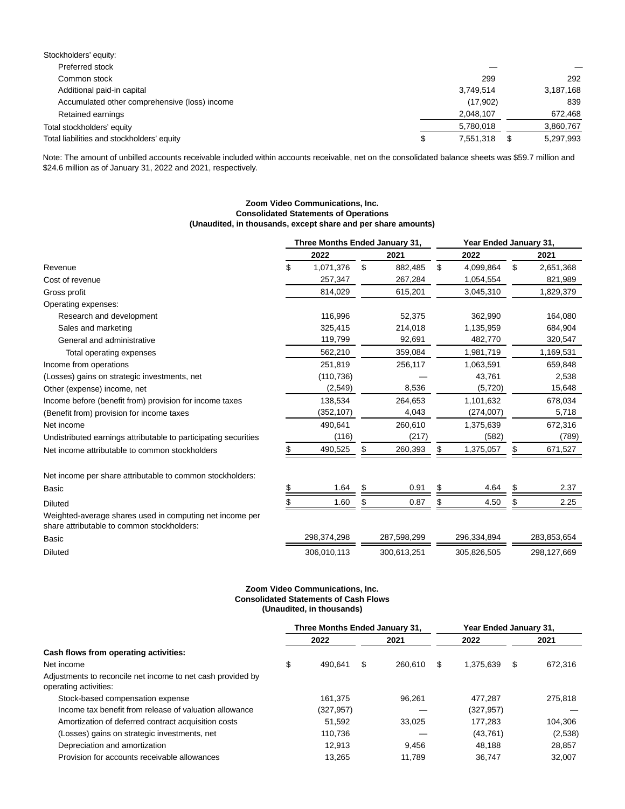| Stockholders' equity:                         |   |           |           |
|-----------------------------------------------|---|-----------|-----------|
| Preferred stock                               |   |           |           |
| Common stock                                  |   | 299       | 292       |
| Additional paid-in capital                    |   | 3,749,514 | 3,187,168 |
| Accumulated other comprehensive (loss) income |   | (17,902)  | 839       |
| Retained earnings                             |   | 2,048,107 | 672,468   |
| Total stockholders' equity                    |   | 5.780.018 | 3,860,767 |
| Total liabilities and stockholders' equity    | S | 7,551,318 | 5,297,993 |

Note: The amount of unbilled accounts receivable included within accounts receivable, net on the consolidated balance sheets was \$59.7 million and \$24.6 million as of January 31, 2022 and 2021, respectively.

# **Zoom Video Communications, Inc. Consolidated Statements of Operations (Unaudited, in thousands, except share and per share amounts)**

|                                                                                                        | Three Months Ended January 31, |             |    |             | Year Ended January 31, |             |    |             |  |
|--------------------------------------------------------------------------------------------------------|--------------------------------|-------------|----|-------------|------------------------|-------------|----|-------------|--|
|                                                                                                        |                                | 2022        |    | 2021        |                        | 2022        |    | 2021        |  |
| Revenue                                                                                                | \$                             | 1,071,376   | \$ | 882,485     | \$                     | 4,099,864   | \$ | 2,651,368   |  |
| Cost of revenue                                                                                        |                                | 257,347     |    | 267,284     |                        | 1,054,554   |    | 821,989     |  |
| Gross profit                                                                                           |                                | 814,029     |    | 615,201     |                        | 3,045,310   |    | 1,829,379   |  |
| Operating expenses:                                                                                    |                                |             |    |             |                        |             |    |             |  |
| Research and development                                                                               |                                | 116,996     |    | 52,375      |                        | 362,990     |    | 164,080     |  |
| Sales and marketing                                                                                    |                                | 325,415     |    | 214,018     |                        | 1,135,959   |    | 684,904     |  |
| General and administrative                                                                             |                                | 119,799     |    | 92,691      |                        | 482,770     |    | 320,547     |  |
| Total operating expenses                                                                               |                                | 562,210     |    | 359,084     |                        | 1,981,719   |    | 1,169,531   |  |
| Income from operations                                                                                 |                                | 251,819     |    | 256,117     |                        | 1,063,591   |    | 659,848     |  |
| (Losses) gains on strategic investments, net                                                           |                                | (110, 736)  |    |             |                        | 43,761      |    | 2,538       |  |
| Other (expense) income, net                                                                            |                                | (2,549)     |    | 8,536       |                        | (5,720)     |    | 15,648      |  |
| Income before (benefit from) provision for income taxes                                                |                                | 138,534     |    | 264,653     |                        | 1,101,632   |    | 678,034     |  |
| (Benefit from) provision for income taxes                                                              |                                | (352, 107)  |    | 4,043       |                        | (274,007)   |    | 5,718       |  |
| Net income                                                                                             |                                | 490,641     |    | 260,610     |                        | 1,375,639   |    | 672,316     |  |
| Undistributed earnings attributable to participating securities                                        |                                | (116)       |    | (217)       |                        | (582)       |    | (789)       |  |
| Net income attributable to common stockholders                                                         |                                | 490,525     | \$ | 260,393     |                        | 1,375,057   | S  | 671,527     |  |
| Net income per share attributable to common stockholders:                                              |                                |             |    |             |                        |             |    |             |  |
| Basic                                                                                                  | \$                             | 1.64        | \$ | 0.91        |                        | 4.64        | \$ | 2.37        |  |
| <b>Diluted</b>                                                                                         |                                | 1.60        | \$ | 0.87        | \$                     | 4.50        | \$ | 2.25        |  |
| Weighted-average shares used in computing net income per<br>share attributable to common stockholders: |                                |             |    |             |                        |             |    |             |  |
| Basic                                                                                                  |                                | 298,374,298 |    | 287,598,299 |                        | 296,334,894 |    | 283,853,654 |  |
| <b>Diluted</b>                                                                                         |                                | 306,010,113 |    | 300,613,251 |                        | 305,826,505 |    | 298,127,669 |  |

# **Zoom Video Communications, Inc. Consolidated Statements of Cash Flows (Unaudited, in thousands)**

|                                                                                      | Three Months Ended January 31, |           |   |         | Year Ended January 31, |            |   |         |
|--------------------------------------------------------------------------------------|--------------------------------|-----------|---|---------|------------------------|------------|---|---------|
|                                                                                      |                                | 2022      |   | 2021    |                        | 2022       |   | 2021    |
| Cash flows from operating activities:                                                |                                |           |   |         |                        |            |   |         |
| Net income                                                                           | \$                             | 490.641   | S | 260.610 | S                      | 1.375.639  | S | 672.316 |
| Adjustments to reconcile net income to net cash provided by<br>operating activities: |                                |           |   |         |                        |            |   |         |
| Stock-based compensation expense                                                     |                                | 161.375   |   | 96.261  |                        | 477.287    |   | 275.818 |
| Income tax benefit from release of valuation allowance                               |                                | (327,957) |   |         |                        | (327, 957) |   |         |
| Amortization of deferred contract acquisition costs                                  |                                | 51.592    |   | 33.025  |                        | 177.283    |   | 104.306 |
| (Losses) gains on strategic investments, net                                         |                                | 110.736   |   |         |                        | (43,761)   |   | (2,538) |
| Depreciation and amortization                                                        |                                | 12.913    |   | 9.456   |                        | 48.188     |   | 28,857  |
| Provision for accounts receivable allowances                                         |                                | 13.265    |   | 11.789  |                        | 36.747     |   | 32.007  |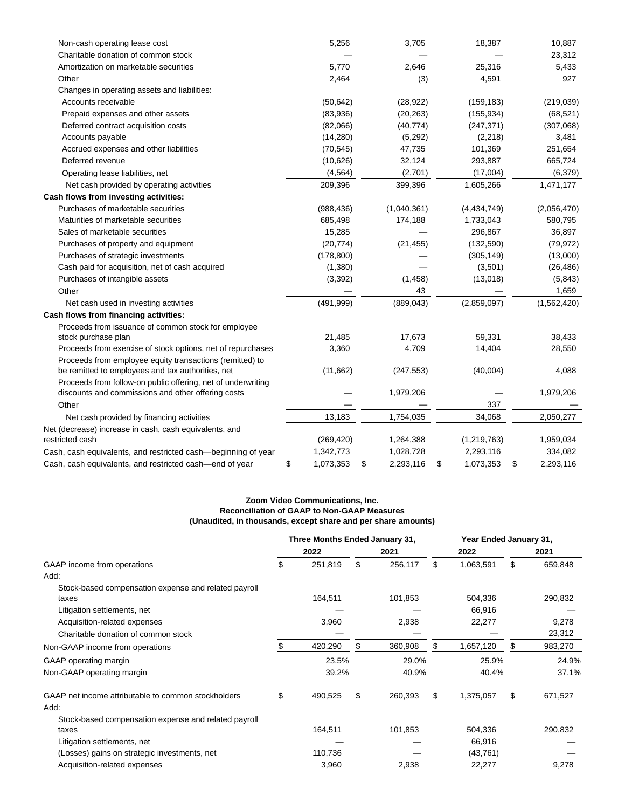| Non-cash operating lease cost                                 | 5,256           | 3,705           | 18,387          | 10,887          |
|---------------------------------------------------------------|-----------------|-----------------|-----------------|-----------------|
| Charitable donation of common stock                           |                 |                 |                 | 23,312          |
| Amortization on marketable securities                         | 5,770           | 2,646           | 25,316          | 5,433           |
| Other                                                         | 2,464           | (3)             | 4,591           | 927             |
| Changes in operating assets and liabilities:                  |                 |                 |                 |                 |
| Accounts receivable                                           | (50, 642)       | (28, 922)       | (159, 183)      | (219, 039)      |
| Prepaid expenses and other assets                             | (83,936)        | (20, 263)       | (155, 934)      | (68, 521)       |
| Deferred contract acquisition costs                           | (82,066)        | (40, 774)       | (247, 371)      | (307,068)       |
| Accounts payable                                              | (14, 280)       | (5,292)         | (2, 218)        | 3,481           |
| Accrued expenses and other liabilities                        | (70, 545)       | 47,735          | 101,369         | 251,654         |
| Deferred revenue                                              | (10,626)        | 32,124          | 293,887         | 665,724         |
| Operating lease liabilities, net                              | (4, 564)        | (2,701)         | (17,004)        | (6, 379)        |
| Net cash provided by operating activities                     | 209,396         | 399,396         | 1,605,266       | 1,471,177       |
| Cash flows from investing activities:                         |                 |                 |                 |                 |
| Purchases of marketable securities                            | (988, 436)      | (1,040,361)     | (4,434,749)     | (2,056,470)     |
| Maturities of marketable securities                           | 685,498         | 174,188         | 1,733,043       | 580,795         |
| Sales of marketable securities                                | 15,285          |                 | 296,867         | 36,897          |
| Purchases of property and equipment                           | (20, 774)       | (21, 455)       | (132, 590)      | (79, 972)       |
| Purchases of strategic investments                            | (178, 800)      |                 | (305, 149)      | (13,000)        |
| Cash paid for acquisition, net of cash acquired               | (1,380)         |                 | (3,501)         | (26, 486)       |
| Purchases of intangible assets                                | (3, 392)        | (1, 458)        | (13,018)        | (5, 843)        |
| Other                                                         |                 | 43              |                 | 1,659           |
| Net cash used in investing activities                         | (491, 999)      | (889, 043)      | (2,859,097)     | (1,562,420)     |
| Cash flows from financing activities:                         |                 |                 |                 |                 |
| Proceeds from issuance of common stock for employee           |                 |                 |                 |                 |
| stock purchase plan                                           | 21,485          | 17,673          | 59,331          | 38,433          |
| Proceeds from exercise of stock options, net of repurchases   | 3,360           | 4,709           | 14,404          | 28,550          |
| Proceeds from employee equity transactions (remitted) to      |                 |                 |                 |                 |
| be remitted to employees and tax authorities, net             | (11,662)        | (247, 553)      | (40,004)        | 4,088           |
| Proceeds from follow-on public offering, net of underwriting  |                 |                 |                 |                 |
| discounts and commissions and other offering costs            |                 | 1,979,206       |                 | 1,979,206       |
| Other                                                         |                 |                 | 337             |                 |
| Net cash provided by financing activities                     | 13,183          | 1,754,035       | 34,068          | 2,050,277       |
| Net (decrease) increase in cash, cash equivalents, and        |                 |                 |                 |                 |
| restricted cash                                               | (269, 420)      | 1,264,388       | (1, 219, 763)   | 1,959,034       |
| Cash, cash equivalents, and restricted cash—beginning of year | 1,342,773       | 1,028,728       | 2,293,116       | 334,082         |
| Cash, cash equivalents, and restricted cash-end of year       | \$<br>1,073,353 | \$<br>2,293,116 | \$<br>1,073,353 | \$<br>2,293,116 |

# **Zoom Video Communications, Inc. Reconciliation of GAAP to Non-GAAP Measures (Unaudited, in thousands, except share and per share amounts)**

|                                                               | Three Months Ended January 31, |         |    |         | Year Ended January 31, |           |    |         |
|---------------------------------------------------------------|--------------------------------|---------|----|---------|------------------------|-----------|----|---------|
|                                                               |                                | 2022    |    | 2021    |                        | 2022      |    | 2021    |
| GAAP income from operations                                   | \$                             | 251,819 | \$ | 256,117 | \$                     | 1,063,591 | \$ | 659,848 |
| Add:                                                          |                                |         |    |         |                        |           |    |         |
| Stock-based compensation expense and related payroll          |                                |         |    |         |                        |           |    |         |
| taxes                                                         |                                | 164,511 |    | 101,853 |                        | 504,336   |    | 290,832 |
| Litigation settlements, net                                   |                                |         |    |         |                        | 66,916    |    |         |
| Acquisition-related expenses                                  |                                | 3,960   |    | 2,938   |                        | 22,277    |    | 9,278   |
| Charitable donation of common stock                           |                                |         |    |         |                        |           |    | 23,312  |
| Non-GAAP income from operations                               |                                | 420,290 |    | 360,908 |                        | 1,657,120 |    | 983,270 |
| GAAP operating margin                                         |                                | 23.5%   |    | 29.0%   |                        | 25.9%     |    | 24.9%   |
| Non-GAAP operating margin                                     |                                | 39.2%   |    | 40.9%   |                        | 40.4%     |    | 37.1%   |
| GAAP net income attributable to common stockholders<br>Add:   | \$                             | 490,525 | \$ | 260,393 | \$                     | 1,375,057 | \$ | 671,527 |
|                                                               |                                |         |    |         |                        |           |    |         |
| Stock-based compensation expense and related payroll<br>taxes |                                | 164,511 |    | 101,853 |                        | 504,336   |    | 290,832 |
| Litigation settlements, net                                   |                                |         |    |         |                        | 66,916    |    |         |
|                                                               |                                |         |    |         |                        |           |    |         |
| (Losses) gains on strategic investments, net                  |                                | 110,736 |    |         |                        | (43, 761) |    |         |
| Acquisition-related expenses                                  |                                | 3,960   |    | 2,938   |                        | 22,277    |    | 9,278   |